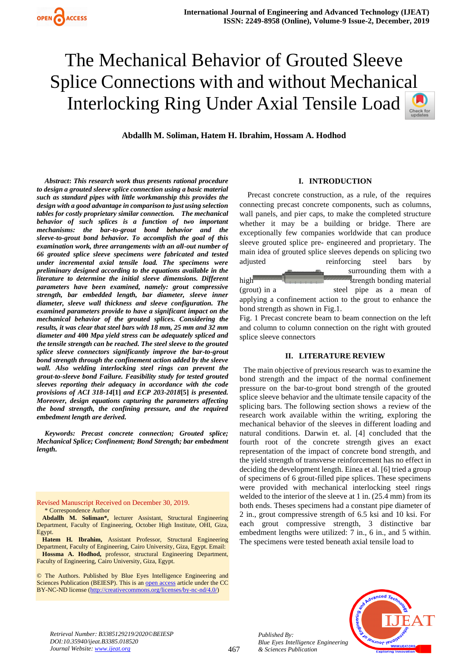

*Abstract***:** *This research work thus presents rational procedure to design a grouted sleeve splice connection using a basic material such as standard pipes with little workmanship this provides the design with a good advantage in comparison to just using selection tables for costly proprietary similar connection. The mechanical behavior of such splices is a function of two important mechanisms: the bar-to-grout bond behavior and the sleeve-to-grout bond behavior. To accomplish the goal of this examination work, three arrangements with an all-out number of 66 grouted splice sleeve specimens were fabricated and tested under incremental axial tensile load. The specimens were preliminary designed according to the equations available in the literature to determine the initial sleeve dimensions. Different parameters have been examined, namely: grout compressive strength, bar embedded length, bar diameter, sleeve inner diameter, sleeve wall thickness and sleeve configuration. The examined parameters provide to have a significant impact on the mechanical behavior of the grouted splices. Considering the results, it was clear that steel bars with 18 mm, 25 mm and 32 mm diameter and* **400** *Mpa yield stress can be adequately spliced and the tensile strength can be reached. The steel sleeve to the grouted splice sleeve connectors significantly improve the bar-to-grout bond strength through the confinement action added by the sleeve wall.**Also welding interlocking steel rings can prevent the grout-to-sleeve bond Failure. Feasibility study for tested grouted sleeves reporting their adequacy in accordance with the code provisions of ACI 318-14***[1]** *and ECP 203-2018***[5]** *is presented. Moreover, design equations capturing the parameters affecting the bond strength, the confining pressure, and the required embedment length are derived.* 

*Keywords: Precast concrete connection; Grouted splice; Mechanical Splice; Confinement; Bond Strength; bar embedment length.*

Revised Manuscript Received on December 30, 2019. \* Correspondence Author

**Abdallh M. Soliman\*,** lecturer Assistant, Structural Engineering Department, Faculty of Engineering, October High Institute, OHI, Giza, Egypt.

**Hatem H. Ibrahim,** Assistant Professor, Structural Engineering Department, Faculty of Engineering, Cairo University, Giza, Egypt. Email: **Hossma A. Hodhod,** professor, structural Engineering Department, Faculty of Engineering, Cairo University, Giza, Egypt.

© The Authors. Published by Blue Eyes Intelligence Engineering and Sciences Publication (BEIESP). This is a[n open access](https://www.openaccess.nl/en/open-publications) article under the CC BY-NC-ND license [\(http://creativecommons.org/licenses/by-nc-nd/4.0/\)](http://creativecommons.org/licenses/by-nc-nd/4.0/)

# **I. INTRODUCTION**

Precast concrete construction, as a rule, of the requires connecting precast concrete components, such as columns, wall panels, and pier caps, to make the completed structure whether it may be a building or bridge. There are exceptionally few companies worldwide that can produce sleeve grouted splice pre- engineered and proprietary. The main idea of grouted splice sleeves depends on splicing two adjusted reinforcing steel bars by

surrounding them with a high strength bonding material (grout) in a steel pipe as a mean of applying a confinement action to the grout to enhance the bond strength as shown in Fig.1.

Fig. 1 Precast concrete beam to beam connection on the left and column to column connection on the right with grouted splice sleeve connectors

#### **II. LITERATURE REVIEW**

 The main objective of previous research was to examine the bond strength and the impact of the normal confinement pressure on the bar-to-grout bond strength of the grouted splice sleeve behavior and the ultimate tensile capacity of the splicing bars. The following section shows a review of the research work available within the writing, exploring the mechanical behavior of the sleeves in different loading and natural conditions. Darwin et. al. [4] concluded that the fourth root of the concrete strength gives an exact representation of the impact of concrete bond strength, and the yield strength of transverse reinforcement has no effect in deciding the development length. Einea et al. [6] tried a group of specimens of 6 grout-filled pipe splices. These specimens were provided with mechanical interlocking steel rings welded to the interior of the sleeve at 1 in. (25.4 mm) from its both ends. Theses specimens had a constant pipe diameter of 2 in., grout compressive strength of 6.5 ksi and 10 ksi. For each grout compressive strength, 3 distinctive bar embedment lengths were utilized: 7 in., 6 in., and 5 within. The specimens were tested beneath axial tensile load to



*Retrieval Number: B3385129219/2020©BEIESP DOI:10.35940/ijeat.B3385.018520 Journal Website[: www.ijeat.org](http://www.ijeat.org/)*

*Published By: Blue Eyes Intelligence Engineering & Sciences Publication*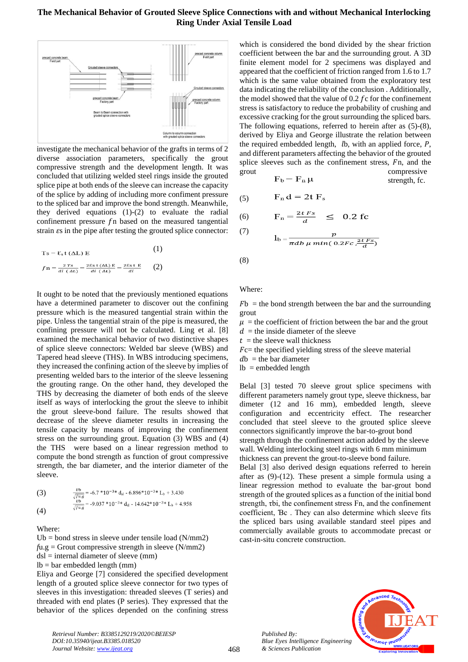

investigate the mechanical behavior of the grafts in terms of 2 diverse association parameters, specifically the grout compressive strength and the development length. It was concluded that utilizing welded steel rings inside the grouted splice pipe at both ends of the sleeve can increase the capacity of the splice by adding of including more confiment pressure to the spliced bar and improve the bond strength. Meanwhile, they derived equations (1)-(2) to evaluate the radial confinement pressure  $f_n$  based on the measured tangential strain  $\epsilon$ s in the pipe after testing the grouted splice connector:

$$
Ts = \mathcal{E}_s \mathbf{t} (\Delta L) \mathbf{E}
$$
 (1)  

$$
fn = \frac{2 \mathcal{I}s}{di (\Delta L)} = \frac{2 \mathcal{E}s \mathcal{t} (\Delta L) \mathbf{E}}{di (\Delta L)} = \frac{2 \mathcal{E}s \mathcal{t} \mathbf{E}}{di}
$$
 (2)

It ought to be noted that the previously mentioned equations have a determined parameter to discover out the confining pressure which is the measured tangential strain within the pipe. Unless the tangential strain of the pipe is measured, the confining pressure will not be calculated. Ling et al. [8] examined the mechanical behavior of two distinctive shapes of splice sleeve connectors: Welded bar sleeve (WBS) and Tapered head sleeve (THS). In WBS introducing specimens, they increased the confining action of the sleeve by implies of presenting welded bars to the interior of the sleeve lessening the grouting range. On the other hand, they developed the THS by decreasing the diameter of both ends of the sleeve itself as ways of interlocking the grout the sleeve to inhibit the grout sleeve-bond failure. The results showed that decrease of the sleeve diameter results in increasing the tensile capacity by means of improving the confinement stress on the surrounding grout. Equation (3) WBS and (4) the THS were based on a linear regression method to compute the bond strength as function of grout compressive strength, the bar diameter, and the interior diameter of the sleeve.

(3) 
$$
\frac{v_b}{\sqrt{fug}} = -6.7 * 10^{-3} * d_{sl} - 6.896 * 10^{-3} * L_b + 3.430
$$

$$
\frac{v_b}{\sqrt{fug}} = -9.037 * 10^{-3} * d_{sl} - 14.642 * 10^{-3} * L_b + 4.958
$$

$$
(4)
$$

Where:

 $Ub = bond$  stress in sleeve under tensile load (N/mm2)  $f_{u,g}$  = Grout compressive strength in sleeve (N/mm2)  $dsl =$  internal diameter of sleeve (mm)  $lb = bar$  embedded length (mm) Eliya and George [7] considered the specified development

length of a grouted splice sleeve connector for two types of sleeves in this investigation: threaded sleeves (T series) and threaded with end plates (P series). They expressed that the behavior of the splices depended on the confining stress

which is considered the bond divided by the shear friction coefficient between the bar and the surrounding grout. A 3D finite element model for 2 specimens was displayed and appeared that the coefficient of friction ranged from 1.6 to 1.7 which is the same value obtained from the exploratory test data indicating the reliability of the conclusion . Additionally, the model showed that the value of  $0.2 f$ c for the confinement stress is satisfactory to reduce the probability of crushing and excessive cracking for the grout surrounding the spliced bars. The following equations, referred to herein after as (5)-(8), derived by Eliya and George illustrate the relation between the required embedded length,  $lb$ , with an applied force,  $P$ , and different parameters affecting the behavior of the grouted splice sleeves such as the confinement stress,  $Fn$ , and the grout compressive

$$
F_b = F_n \mu \qquad \qquad \text{strength, fc.}
$$

$$
(5) \qquad F_n d = 2t \; F_s
$$

(6) 
$$
F_n = \frac{2tFs}{d} \leq 0.2 \text{ fc}
$$

$$
\frac{7}{2}
$$

$$
l_b = \frac{p}{\pi ab \mu \min(0.2 Fc \frac{2t Fs}{d})}
$$

(8)

#### Where:

 $Fb =$  the bond strength between the bar and the surrounding grout

 $\mu$  = the coefficient of friction between the bar and the grout  $d =$  the inside diameter of the sleeve  $t =$  the sleeve wall thickness

 $Fc=$  the specified yielding stress of the sleeve material

 $db =$  the bar diameter  $lb =$  embedded length

Belal [3] tested 70 sleeve grout splice specimens with different parameters namely grout type, sleeve thickness, bar dimeter (12 and 16 mm), embedded length, sleeve configuration and eccentricity effect. The researcher concluded that steel sleeve to the grouted splice sleeve connectors significantly improve the bar-to-grout bond strength through the confinement action added by the sleeve wall. Welding interlocking steel rings with 6 mm minimum thickness can prevent the grout-to-sleeve bond failure. Belal [3] also derived design equations referred to herein after as (9)-(12). These present a simple formula using a linear regression method to evaluate the bar-grout bond strength of the grouted splices as a function of the initial bond strength, τbi, the confinement stress Fn, and the confinement coefficient, Ɓc . They can also determine which sleeve fits the spliced bars using available standard steel pipes and commercially available grouts to accommodate precast or



468 *Published By: Blue Eyes Intelligence Engineering & Sciences Publication* 

cast-in-situ concrete construction.

*Retrieval Number: B3385129219/2020©BEIESP DOI:10.35940/ijeat.B3385.018520 Journal Website[: www.ijeat.org](http://www.ijeat.org/)*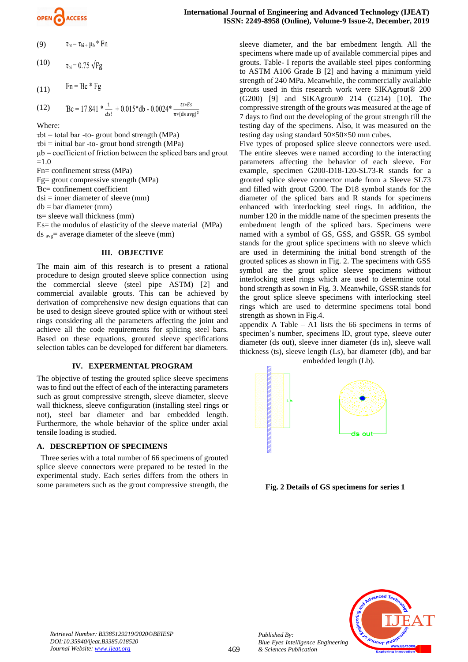

- (9)  $\tau_{\rm bt} = \tau_{\rm bi} + \mu_{\rm b} * Fn$
- (10)  $\tau_{\rm bi}$  = 0.75  $\sqrt{Fg}$
- $Fn = Bc * Fg$ (11)
- Bc = 17.841  $*\frac{1}{dsi}$  + 0.015  $\text{*}$  db 0.0024  $*\frac{ts*Es}{\pi*(ds\text{ avg})^2}$ (12)

Where:

 $\tau$ bt = total bar -to- grout bond strength (MPa)  $\tau$ bi = initial bar -to- grout bond strength (MPa)  $\mu$ b = coefficient of friction between the spliced bars and grout  $=1.0$ Fn= confinement stress (MPa) Fg= grout compressive strength (MPa) Ɓc= confinement coefficient  $dsi = inner diameter of sleeve (mm)$  $db = bar diameter (mm)$ ts= sleeve wall thickness (mm)

Es= the modulus of elasticity of the sleeve material (MPa) ds avg= average diameter of the sleeve (mm)

#### **III. OBJECTIVE**

The main aim of this research is to present a rational procedure to design grouted sleeve splice connection using the commercial sleeve (steel pipe ASTM) [2] and commercial available grouts. This can be achieved by derivation of comprehensive new design equations that can be used to design sleeve grouted splice with or without steel rings considering all the parameters affecting the joint and achieve all the code requirements for splicing steel bars. Based on these equations, grouted sleeve specifications selection tables can be developed for different bar diameters.

#### **IV. EXPERMENTAL PROGRAM**

The objective of testing the grouted splice sleeve specimens was to find out the effect of each of the interacting parameters such as grout compressive strength, sleeve diameter, sleeve wall thickness, sleeve configuration (installing steel rings or not), steel bar diameter and bar embedded length. Furthermore, the whole behavior of the splice under axial tensile loading is studied.

#### **A. DESCREPTION OF SPECIMENS**

 Three series with a total number of 66 specimens of grouted splice sleeve connectors were prepared to be tested in the experimental study. Each series differs from the others in some parameters such as the grout compressive strength, the

sleeve diameter, and the bar embedment length. All the specimens where made up of available commercial pipes and grouts. Table- I reports the available steel pipes conforming to ASTM A106 Grade B [2] and having a minimum yield strength of 240 MPa. Meanwhile, the commercially available grouts used in this research work were SIKAgrout® 200 (G200) [9] and SIKAgrout® 214 (G214) [10]. The compressive strength of the grouts was measured at the age of 7 days to find out the developing of the grout strength till the testing day of the specimens. Also, it was measured on the testing day using standard  $50 \times 50 \times 50$  mm cubes.

Five types of proposed splice sleeve connectors were used. The entire sleeves were named according to the interacting parameters affecting the behavior of each sleeve. For example, specimen G200-D18-120-SL73-R stands for a grouted splice sleeve connector made from a Sleeve SL73 and filled with grout G200. The D18 symbol stands for the diameter of the spliced bars and R stands for specimens enhanced with interlocking steel rings. In addition, the number 120 in the middle name of the specimen presents the embedment length of the spliced bars. Specimens were named with a symbol of GS, GSS, and GSSR. GS symbol stands for the grout splice specimens with no sleeve which are used in determining the initial bond strength of the grouted splices as shown in Fig. 2. The specimens with GSS symbol are the grout splice sleeve specimens without interlocking steel rings which are used to determine total bond strength as sown in Fig. 3. Meanwhile, GSSR stands for the grout splice sleeve specimens with interlocking steel rings which are used to determine specimens total bond strength as shown in Fig.4.

appendix A Table – A1 lists the  $66$  specimens in terms of specimen's number, specimens ID, grout type, sleeve outer diameter (ds out), sleeve inner diameter (ds in), sleeve wall thickness (ts), sleeve length (Ls), bar diameter (db), and bar embedded length (Lb).



**Fig. 2 Details of GS specimens for series 1**



*Retrieval Number: B3385129219/2020©BEIESP DOI:10.35940/ijeat.B3385.018520 Journal Website[: www.ijeat.org](http://www.ijeat.org/)*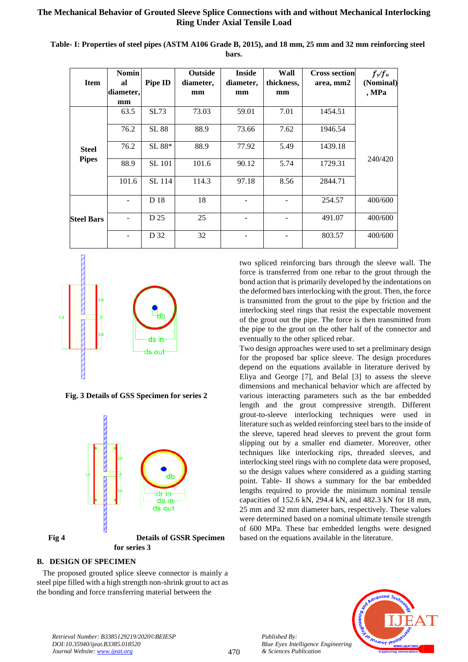| <b>Item</b>                  | <b>Nomin</b><br>al<br>diameter, | Pipe ID       | <b>Outside</b><br>diameter,<br>mm | <b>Inside</b><br>diameter,<br>mm | Wall<br>thickness,<br>mm | <b>Cross section</b><br>area, mm2 | $f_y/f_u$<br>(Nominal)<br>, MPa |
|------------------------------|---------------------------------|---------------|-----------------------------------|----------------------------------|--------------------------|-----------------------------------|---------------------------------|
|                              | mm                              |               |                                   |                                  |                          |                                   |                                 |
| <b>Steel</b><br><b>Pipes</b> | 63.5                            | SL73          | 73.03                             | 59.01                            | 7.01                     | 1454.51                           |                                 |
|                              | 76.2                            | SL 88         | 88.9                              | 73.66                            | 7.62                     | 1946.54                           |                                 |
|                              | 76.2                            | SL 88*        | 88.9                              | 77.92                            | 5.49                     | 1439.18                           |                                 |
|                              | 88.9                            | <b>SL 101</b> | 101.6                             | 90.12                            | 5.74                     | 1729.31                           | 240/420                         |
|                              | 101.6                           | SL 114        | 114.3                             | 97.18                            | 8.56                     | 2844.71                           |                                 |
| <b>Steel Bars</b>            |                                 | D 18          | 18                                |                                  |                          | 254.57                            | 400/600                         |
|                              |                                 | D 25          | 25                                |                                  |                          | 491.07                            | 400/600                         |
|                              |                                 | D 32          | 32                                |                                  |                          | 803.57                            | 400/600                         |

**Table- I: Properties of steel pipes (ASTM A106 Grade B, 2015), and 18 mm, 25 mm and 32 mm reinforcing steel bars.**



**Fig. 3 Details of GSS Specimen for series 2**



# **B. DESIGN OF SPECIMEN**

 The proposed grouted splice sleeve connector is mainly a steel pipe filled with a high strength non-shrink grout to act as the bonding and force transferring material between the

two spliced reinforcing bars through the sleeve wall. The force is transferred from one rebar to the grout through the bond action that is primarily developed by the indentations on the deformed bars interlocking with the grout. Then, the force is transmitted from the grout to the pipe by friction and the interlocking steel rings that resist the expectable movement of the grout out the pipe. The force is then transmitted from the pipe to the grout on the other half of the connector and eventually to the other spliced rebar.

Two design approaches were used to set a preliminary design for the proposed bar splice sleeve. The design procedures depend on the equations available in literature derived by Eliya and George [7], and Belal [3] to assess the sleeve dimensions and mechanical behavior which are affected by various interacting parameters such as the bar embedded length and the grout compressive strength. Different grout-to-sleeve interlocking techniques were used in literature such as welded reinforcing steel bars to the inside of the sleeve, tapered head sleeves to prevent the grout form slipping out by a smaller end diameter. Moreover, other techniques like interlocking rips, threaded sleeves, and interlocking steel rings with no complete data were proposed, so the design values where considered as a guiding starting point. Table- II shows a summary for the bar embedded lengths required to provide the minimum nominal tensile capacities of 152.6 kN, 294.4 kN, and 482.3 kN for 18 mm, 25 mm and 32 mm diameter bars, respectively. These values were determined based on a nominal ultimate tensile strength of 600 MPa. These bar embedded lengths were designed based on the equations available in the literature.



*Retrieval Number: B3385129219/2020©BEIESP DOI:10.35940/ijeat.B3385.018520 Journal Website[: www.ijeat.org](http://www.ijeat.org/)*

*Published By:*

*& Sciences Publication*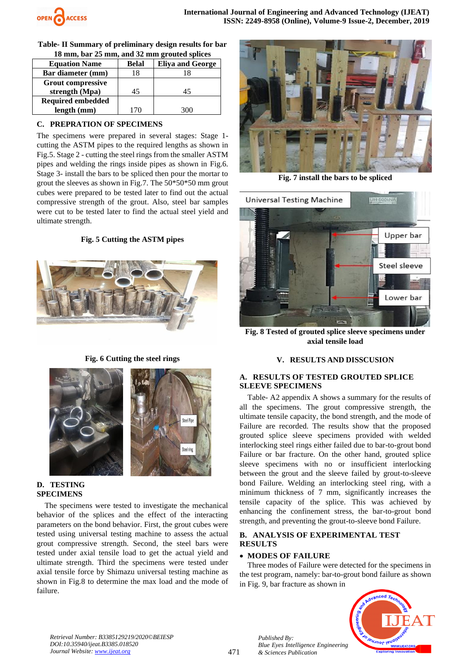

**Table- II Summary of preliminary design results for bar 18 mm, bar 25 mm, and 32 mm grouted splices**

| <b>Equation Name</b>     | <b>Belal</b> | <b>Eliya and George</b> |
|--------------------------|--------------|-------------------------|
| Bar diameter (mm)        | 18           |                         |
| <b>Grout compressive</b> |              |                         |
| strength (Mpa)           | 45           | 45                      |
| <b>Required embedded</b> |              |                         |
| length (mm)              | 170          |                         |

# **C. PREPRATION OF SPECIMENS**

The specimens were prepared in several stages: Stage 1 cutting the ASTM pipes to the required lengths as shown in Fig.5. Stage 2 - cutting the steel rings from the smaller ASTM pipes and welding the rings inside pipes as shown in Fig.6. Stage 3- install the bars to be spliced then pour the mortar to grout the sleeves as shown in Fig.7. The 50\*50\*50 mm grout cubes were prepared to be tested later to find out the actual compressive strength of the grout. Also, steel bar samples were cut to be tested later to find the actual steel yield and ultimate strength.

#### **Fig. 5 Cutting the ASTM pipes**



**Fig. 6 Cutting the steel rings**





# **D. TESTING SPECIMENS**

 The specimens were tested to investigate the mechanical behavior of the splices and the effect of the interacting parameters on the bond behavior. First, the grout cubes were tested using universal testing machine to assess the actual grout compressive strength. Second, the steel bars were tested under axial tensile load to get the actual yield and ultimate strength. Third the specimens were tested under axial tensile force by Shimazu universal testing machine as shown in Fig.8 to determine the max load and the mode of failure.



**Fig. 7 install the bars to be spliced**



**Fig. 8 Tested of grouted splice sleeve specimens under axial tensile load**

#### **V. RESULTS AND DISSCUSION**

#### **A. RESULTS OF TESTED GROUTED SPLICE SLEEVE SPECIMENS**

 Table- A2 appendix A shows a summary for the results of all the specimens. The grout compressive strength, the ultimate tensile capacity, the bond strength, and the mode of Failure are recorded. The results show that the proposed grouted splice sleeve specimens provided with welded interlocking steel rings either failed due to bar-to-grout bond Failure or bar fracture. On the other hand, grouted splice sleeve specimens with no or insufficient interlocking between the grout and the sleeve failed by grout-to-sleeve bond Failure. Welding an interlocking steel ring, with a minimum thickness of 7 mm, significantly increases the tensile capacity of the splice. This was achieved by enhancing the confinement stress, the bar-to-grout bond strength, and preventing the grout-to-sleeve bond Failure.

# **B. ANALYSIS OF EXPERIMENTAL TEST RESULTS**

# • **MODES OF FAILURE**

*Published By:*

*& Sciences Publication* 

*Blue Eyes Intelligence Engineering* 

 Three modes of Failure were detected for the specimens in the test program, namely: bar-to-grout bond failure as shown in Fig. 9, bar fracture as shown in



*Retrieval Number: B3385129219/2020©BEIESP DOI:10.35940/ijeat.B3385.018520 Journal Website[: www.ijeat.org](http://www.ijeat.org/)*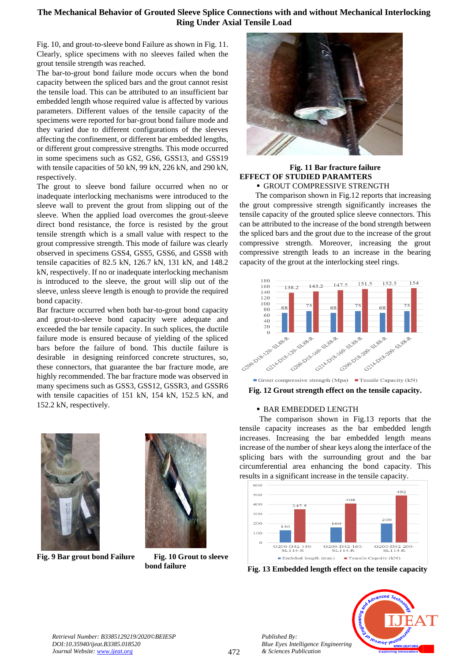Fig. 10, and grout-to-sleeve bond Failure as shown in Fig. 11. Clearly, splice specimens with no sleeves failed when the grout tensile strength was reached.

The bar-to-grout bond failure mode occurs when the bond capacity between the spliced bars and the grout cannot resist the tensile load. This can be attributed to an insufficient bar embedded length whose required value is affected by various parameters. Different values of the tensile capacity of the specimens were reported for bar-grout bond failure mode and they varied due to different configurations of the sleeves affecting the confinement, or different bar embedded lengths, or different grout compressive strengths. This mode occurred in some specimens such as GS2, GS6, GSS13, and GSS19 with tensile capacities of 50 kN, 99 kN, 226 kN, and 290 kN, respectively.

The grout to sleeve bond failure occurred when no or inadequate interlocking mechanisms were introduced to the sleeve wall to prevent the grout from slipping out of the sleeve. When the applied load overcomes the grout-sleeve direct bond resistance, the force is resisted by the grout tensile strength which is a small value with respect to the grout compressive strength. This mode of failure was clearly observed in specimens GSS4, GSS5, GSS6, and GSS8 with tensile capacities of 82.5 kN, 126.7 kN, 131 kN, and 148.2 kN, respectively. If no or inadequate interlocking mechanism is introduced to the sleeve, the grout will slip out of the sleeve, unless sleeve length is enough to provide the required bond capacity.

Bar fracture occurred when both bar-to-grout bond capacity and grout-to-sleeve bond capacity were adequate and exceeded the bar tensile capacity. In such splices, the ductile failure mode is ensured because of yielding of the spliced bars before the failure of bond. This ductile failure is desirable in designing reinforced concrete structures, so, these connectors, that guarantee the bar fracture mode, are highly recommended. The bar fracture mode was observed in many specimens such as GSS3, GSS12, GSSR3, and GSSR6 with tensile capacities of 151 kN, 154 kN, 152.5 kN, and 152.2 kN, respectively.



**Fig. 9 Bar grout bond Failure Fig. 10 Grout to sleeve** 



 **bond failure**



#### **Fig. 11 Bar fracture failure EFFECT OF STUDIED PARAMTERS • GROUT COMPRESSIVE STRENGTH**

 The comparison shown in Fig.12 reports that increasing the grout compressive strength significantly increases the tensile capacity of the grouted splice sleeve connectors. This can be attributed to the increase of the bond strength between the spliced bars and the grout due to the increase of the grout compressive strength. Moreover, increasing the grout compressive strength leads to an increase in the bearing capacity of the grout at the interlocking steel rings.



**Fig. 12 Grout strength effect on the tensile capacity.**

#### **BAR EMBEDDED LENGTH**

 The comparison shown in Fig.13 reports that the tensile capacity increases as the bar embedded length increases. Increasing the bar embedded length means increase of the number of shear keys along the interface of the splicing bars with the surrounding grout and the bar circumferential area enhancing the bond capacity. This results in a significant increase in the tensile capacity.



**Fig. 13 Embedded length effect on the tensile capacity**



*Published By:*

*& Sciences Publication*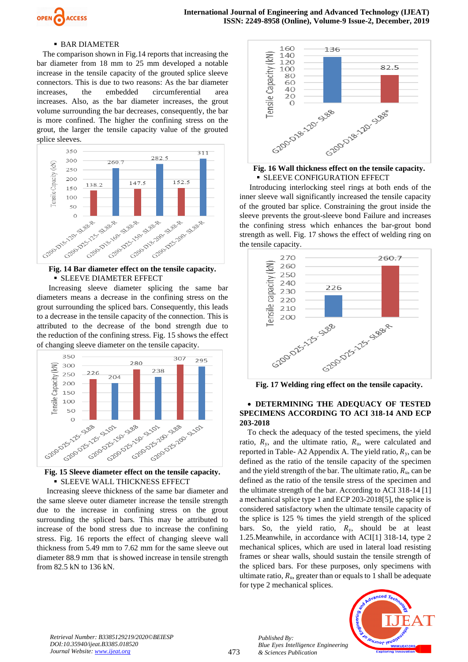

#### **• BAR DIAMETER**

 The comparison shown in Fig.14 reports that increasing the bar diameter from 18 mm to 25 mm developed a notable increase in the tensile capacity of the grouted splice sleeve connectors. This is due to two reasons: As the bar diameter increases, the embedded circumferential area increases. Also, as the bar diameter increases, the grout volume surrounding the bar decreases, consequently, the bar is more confined. The higher the confining stress on the grout, the larger the tensile capacity value of the grouted splice sleeves.



# **EXECTED BIAMETER EFFECT**

 Increasing sleeve diameter splicing the same bar diameters means a decrease in the confining stress on the grout surrounding the spliced bars. Consequently, this leads to a decrease in the tensile capacity of the connection. This is attributed to the decrease of the bond strength due to the reduction of the confining stress. Fig. 15 shows the effect of changing sleeve diameter on the tensile capacity.



# **EXECUTE WALL THICKNESS EFFECT**

 Increasing sleeve thickness of the same bar diameter and the same sleeve outer diameter increase the tensile strength due to the increase in confining stress on the grout surrounding the spliced bars. This may be attributed to increase of the bond stress due to increase the confining stress. Fig. 16 reports the effect of changing sleeve wall thickness from 5.49 mm to 7.62 mm for the same sleeve out diameter 88.9 mm that is showed increase in tensile strength from 82.5 kN to 136 kN.



#### **Fig. 16 Wall thickness effect on the tensile capacity. EXECUTE CONFIGURATION EFFECT**

Introducing interlocking steel rings at both ends of the inner sleeve wall significantly increased the tensile capacity of the grouted bar splice. Constraining the grout inside the sleeve prevents the grout-sleeve bond Failure and increases the confining stress which enhances the bar-grout bond strength as well. Fig. 17 shows the effect of welding ring on the tensile capacity.



**Fig. 17 Welding ring effect on the tensile capacity.**

#### • **DETERMINING THE ADEQUACY OF TESTED SPECIMENS ACCORDING TO ACI 318-14 AND ECP 203-2018**

 To check the adequacy of the tested specimens, the yield ratio,  $R_y$ , and the ultimate ratio,  $R_u$ , were calculated and reported in Table- A2 Appendix A. The yield ratio,  $R_v$ , can be defined as the ratio of the tensile capacity of the specimen and the yield strength of the bar. The ultimate ratio,  $R_u$ , can be defined as the ratio of the tensile stress of the specimen and the ultimate strength of the bar. According to ACI 318-14 [1] a mechanical splice type 1 and ECP 203-2018[5], the splice is considered satisfactory when the ultimate tensile capacity of the splice is 125 % times the yield strength of the spliced bars. So, the yield ratio,  $R_y$ , should be at least 1.25.Meanwhile, in accordance with ACI[1] 318-14, type 2 mechanical splices, which are used in lateral load resisting frames or shear walls, should sustain the tensile strength of the spliced bars. For these purposes, only specimens with ultimate ratio,  $R_u$ , greater than or equals to 1 shall be adequate for type 2 mechanical splices.



*Retrieval Number: B3385129219/2020©BEIESP DOI:10.35940/ijeat.B3385.018520 Journal Website[: www.ijeat.org](http://www.ijeat.org/)*

*Published By:*

*& Sciences Publication* 

*Blue Eyes Intelligence Engineering*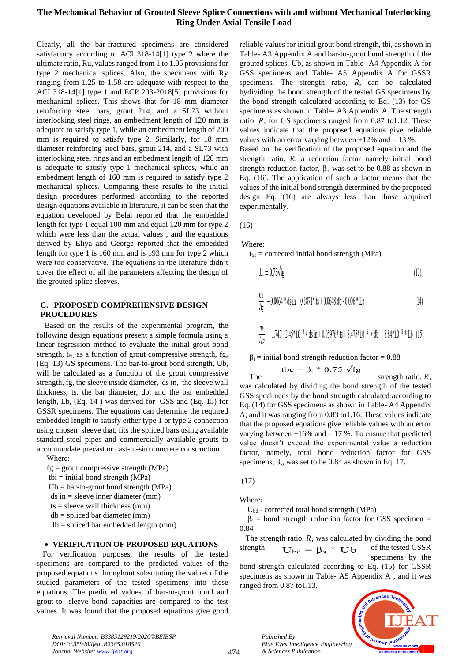Clearly, all the bar-fractured specimens are considered satisfactory according to ACI 318-14[1] type 2 where the ultimate ratio, Ru, values ranged from 1 to 1.05 provisions for type 2 mechanical splices. Also, the specimens with Ry ranging from 1.25 to 1.58 are adequate with respect to the ACI 318-14[1] type 1 and ECP 203-2018[5] provisions for mechanical splices. This shows that for 18 mm diameter reinforcing steel bars, grout 214, and a SL73 without interlocking steel rings, an embedment length of 120 mm is adequate to satisfy type 1, while an embedment length of 200 mm is required to satisfy type 2. Similarly, for 18 mm diameter reinforcing steel bars, grout 214, and a SL73 with interlocking steel rings and an embedment length of 120 mm is adequate to satisfy type 1 mechanical splices, while an embedment length of 160 mm is required to satisfy type 2 mechanical splices. Comparing these results to the initial design procedures performed according to the reported design equations available in literature, it can be seen that the equation developed by Belal reported that the embedded length for type 1 equal 100 mm and equal 120 mm for type 2 which were less than the actual values , and the equations derived by Eliya and George reported that the embedded length for type 1 is 160 mm and is 193 mm for type 2 which were too conservative. The equations in the literature didn't cover the effect of all the parameters affecting the design of the grouted splice sleeves.

#### **C. PROPOSED COMPREHENSIVE DESIGN PROCEDURES**

Based on the results of the experimental program, the following design equations present a simple formula using a linear regression method to evaluate the initial grout bond strength, t<sub>bi,</sub> as a function of grout compressive strength, fg, (Eq. 13) GS specimens. The bar-to-grout bond strength, Ub, will be calculated as a function of the grout compressive strength, fg, the sleeve inside diameter, ds in, the sleeve wall thickness, ts, the bar diameter, db, and the bar embedded length, Lb, (Eq. 14 ) was derived for GSS and (Eq. 15) for GSSR specimens. The equations can determine the required embedded length to satisfy either type 1 or type 2 connection using chosen sleeve that, fits the spliced bars using available standard steel pipes and commercially available grouts to accommodate precast or cast-in-situ concrete construction.

Where:

 $fg =$  grout compressive strength (MPa)

 $tbi = initial bond strength (MPa)$  $Ub = bar-to-group bond strength (MPa)$ 

ds in = sleeve inner diameter (mm)

 $ts = sleeve$  wall thickness (mm)

 $db =$  spliced bar diameter (mm)

lb = spliced bar embedded length (mm)

#### • **VERIFICATION OF PROPOSED EQUATIONS**

 For verification purposes, the results of the tested specimens are compared to the predicted values of the proposed equations throughout substituting the values of the studied parameters of the tested specimens into these equations. The predicted values of bar-to-grout bond and grout-to- sleeve bond capacities are compared to the test values. It was found that the proposed equations give good reliable values for initial grout bond strength, tbi, as shown in Table- A3 Appendix A and bar-to-grout bond strength of the grouted splices, Ub, as shown in Table- A4 Appendix A for GSS specimens and Table- A5 Appendix A for GSSR specimens. The strength ratio,  $R$ , can be calculated bydividing the bond strength of the tested GS specimens by the bond strength calculated according to Eq. (13) for GS specimens as shown in Table- A3 Appendix A. The strength ratio,  $R$ , for GS specimens ranged from 0.87 to1.12. These values indicate that the proposed equations give reliable values with an error varying between  $+12\%$  and  $-13\%$ .

Based on the verification of the proposed equation and the strength ratio,  $R$ , a reduction factor namely initial bond strength reduction factor,  $\beta_i$ , was set to be 0.88 as shown in Eq. (16). The application of such a factor means that the values of the initial bond strength determined by the proposed design Eq. (16) are always less than those acquired experimentally.

(16)

Where:

 $t_{bc}$  = corrected initial bond strength (MPa)

$$
tbi = 0.75\sqrt{fg}
$$
 (13)

$$
\frac{Ub}{\sqrt{fg}} = 0.0064 * ds in + 0.1871 * ts + 0.0648 db - 0.006 * Lb
$$
\n(14)

$$
\frac{v_b}{\sqrt{fg}} = 1.747 - 2.45*10^{-3} * ds in + 0.05976*ts + 8.475*10^{-2} * db - 8.84*10^{-3} * Db (15)
$$

 $\beta_i$  = initial bond strength reduction factor = 0.88

 $\text{tbc} = \beta_i * 0.75 \sqrt{fg}$  strength ratio, *R*, was calculated by dividing the bond strength of the tested GSS specimens by the bond strength calculated according to Eq. (14) for GSS specimens as shown in Table- A4 Appendix A, and it was ranging from 0.83 to1.16. These values indicate that the proposed equations give reliable values with an error varying between  $+16\%$  and  $-17\%$ . To ensure that predicted value doesn't exceed the experimental value a reduction factor, namely, total bond reduction factor for GSS specimens,  $\beta_s$ , was set to be 0.84 as shown in Eq. 17.

(17)

Where:

 $U_{\text{bd}}$  = corrected total bond strength (MPa)

 $\beta_s$  = bond strength reduction factor for GSS specimen = 0.84

The strength ratio, *, was calculated by dividing the bond* strength  $U_{\text{bd}} = \beta_{\text{s}} * Ub$  of the tested GSSR specimens by the

bond strength calculated according to Eq. (15) for GSSR specimens as shown in Table- A5 Appendix A , and it was ranged from 0.87 to1.13.



*Retrieval Number: B3385129219/2020©BEIESP DOI:10.35940/ijeat.B3385.018520 Journal Website[: www.ijeat.org](http://www.ijeat.org/)*

*Published By:*

*& Sciences Publication*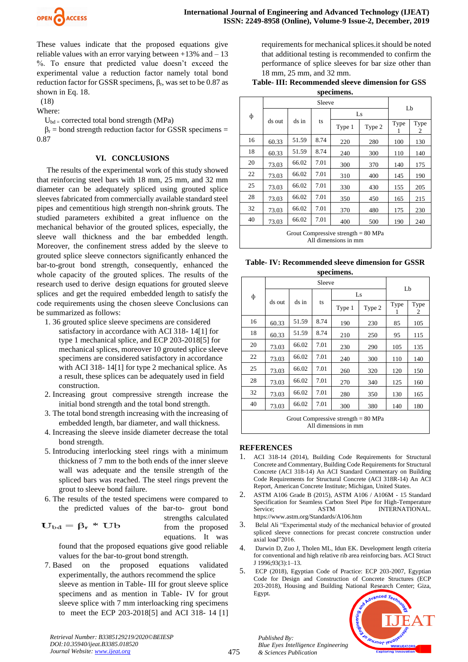

These values indicate that the proposed equations give reliable values with an error varying between  $+13\%$  and  $-13$ %. To ensure that predicted value doesn't exceed the experimental value a reduction factor namely total bond reduction factor for GSSR specimens,  $β_r$ , was set to be 0.87 as shown in Eq. 18.

(18)

Where:

 $U_{bd}$  = corrected total bond strength (MPa)

 $\beta_r$  = bond strength reduction factor for GSSR specimens = 0.87

# **VI. CONCLUSIONS**

 The results of the experimental work of this study showed that reinforcing steel bars with 18 mm, 25 mm, and 32 mm diameter can be adequately spliced using grouted splice sleeves fabricated from commercially available standard steel pipes and cementitious high strength non-shrink grouts. The studied parameters exhibited a great influence on the mechanical behavior of the grouted splices, especially, the sleeve wall thickness and the bar embedded length. Moreover, the confinement stress added by the sleeve to grouted splice sleeve connectors significantly enhanced the bar-to-grout bond strength, consequently, enhanced the whole capacity of the grouted splices. The results of the research used to derive design equations for grouted sleeve splices and get the required embedded length to satisfy the code requirements using the chosen sleeve Conclusions can be summarized as follows:

- 1. 36 grouted splice sleeve specimens are considered satisfactory in accordance with ACI 318- 14[1] for type 1 mechanical splice, and ECP 203-2018[5] for mechanical splices, moreover 10 grouted splice sleeve specimens are considered satisfactory in accordance with ACI 318- 14[1] for type 2 mechanical splice. As a result, these splices can be adequately used in field construction.
- 2. Increasing grout compressive strength increase the initial bond strength and the total bond strength.
- 3. The total bond strength increasing with the increasing of embedded length, bar diameter, and wall thickness.
- 4. Increasing the sleeve inside diameter decrease the total bond strength.
- 5. Introducing interlocking steel rings with a minimum thickness of 7 mm to the both ends of the inner sleeve wall was adequate and the tensile strength of the spliced bars was reached. The steel rings prevent the grout to sleeve bond failure.
- 6. The results of the tested specimens were compared to the predicted values of the bar-to- grout bond

$$
U_{\rm bd}=\beta_r\ast\,Ub
$$

strengths calculated from the proposed equations. It was

found that the proposed equations give good reliable values for the bar-to-grout bond strength.

7. Based on the proposed equations validated experimentally, the authors recommend the splice sleeve as mention in Table- III for grout sleeve splice specimens and as mention in Table- IV for grout sleeve splice with 7 mm interloacking ring specimens to meet the ECP 203-2018[5] and ACI 318- 14 [1] requirements for mechanical splices.it should be noted that additional testing is recommended to confirm the performance of splice sleeves for bar size other than 18 mm, 25 mm, and 32 mm.

### **Table- III: Recommended sleeve dimension for GSS specimens.**

| ф                                                             | Sleeve |       |      |        |        |      |           |  |
|---------------------------------------------------------------|--------|-------|------|--------|--------|------|-----------|--|
|                                                               | ds out | ds in | ts   | Ls     |        | Lb   |           |  |
|                                                               |        |       |      | Type 1 | Type 2 | Type | Type<br>2 |  |
| 16                                                            | 60.33  | 51.59 | 8.74 | 220    | 280    | 100  | 130       |  |
| 18                                                            | 60.33  | 51.59 | 8.74 | 240    | 300    | 110  | 140       |  |
| 20                                                            | 73.03  | 66.02 | 7.01 | 300    | 370    | 140  | 175       |  |
| 22                                                            | 73.03  | 66.02 | 7.01 | 310    | 400    | 145  | 190       |  |
| 25                                                            | 73.03  | 66.02 | 7.01 | 330    | 430    | 155  | 205       |  |
| 28                                                            | 73.03  | 66.02 | 7.01 | 350    | 450    | 165  | 215       |  |
| 32                                                            | 73.03  | 66.02 | 7.01 | 370    | 480    | 175  | 230       |  |
| 40                                                            | 73.03  | 66.02 | 7.01 | 400    | 500    | 190  | 240       |  |
| Grout Compressive strength $= 80$ MPa<br>All dimensions in mm |        |       |      |        |        |      |           |  |

#### **Table- IV: Recommended sleeve dimension for GSSR**  ns.

| specime |
|---------|
|         |

|                                       |        | Lb    |      |        |        |      |           |
|---------------------------------------|--------|-------|------|--------|--------|------|-----------|
| ф                                     | ds out | ds in | ts   | Ls     |        |      |           |
|                                       |        |       |      | Type 1 | Type 2 | Type | Type<br>2 |
| 16                                    | 60.33  | 51.59 | 8.74 | 190    | 230    | 85   | 105       |
| 18                                    | 60.33  | 51.59 | 8.74 | 210    | 250    | 95   | 115       |
| 20                                    | 73.03  | 66.02 | 7.01 | 230    | 290    | 105  | 135       |
| 22                                    | 73.03  | 66.02 | 7.01 | 240    | 300    | 110  | 140       |
| 25                                    | 73.03  | 66.02 | 7.01 | 260    | 320    | 120  | 150       |
| 28                                    | 73.03  | 66.02 | 7.01 | 270    | 340    | 125  | 160       |
| 32                                    | 73.03  | 66.02 | 7.01 | 280    | 350    | 130  | 165       |
| 40                                    | 73.03  | 66.02 | 7.01 | 300    | 380    | 140  | 180       |
| Grout Compressive strength $= 80$ MPa |        |       |      |        |        |      |           |

All dimensions in mm

# **REFERENCES**

- 1. ACI 318-14 (2014), Building Code Requirements for Structural Concrete and Commentary, Building Code Requirements for Structural Concrete (ACI 318-14) An ACI Standard Commentary on Building Code Requirements for Structural Concrete (ACI 318R-14) An ACI Report, American Concrete Institute; Michigan, United States.
- 2. ASTM A106 Grade B (2015), ASTM A106 / A106M 15 Standard Specification for Seamless Carbon Steel Pipe for High-Temperature Service; ASTM INTERNATIONAL. https://www.astm.org/Standards/A106.htm
- 3. Belal Ali "Experimental study of the mechanical behavior of grouted spliced sleeve connections for precast concrete construction under axial load"2016.
- 4. Darwin D, Zuo J, Tholen ML, Idun EK. Development length criteria for conventional and high relative rib area reinforcing bars. ACI Struct J 1996;93(3):1–13.
- 5. ECP (2018), Egyptian Code of Practice: ECP 203-2007, Egyptian Code for Design and Construction of Concrete Structures (ECP 203-2018), Housing and Building National Research Center; Giza, Egypt.



*Retrieval Number: B3385129219/2020©BEIESP DOI:10.35940/ijeat.B3385.018520 Journal Website[: www.ijeat.org](http://www.ijeat.org/)*

*Published By: Blue Eyes Intelligence Engineering & Sciences Publication*